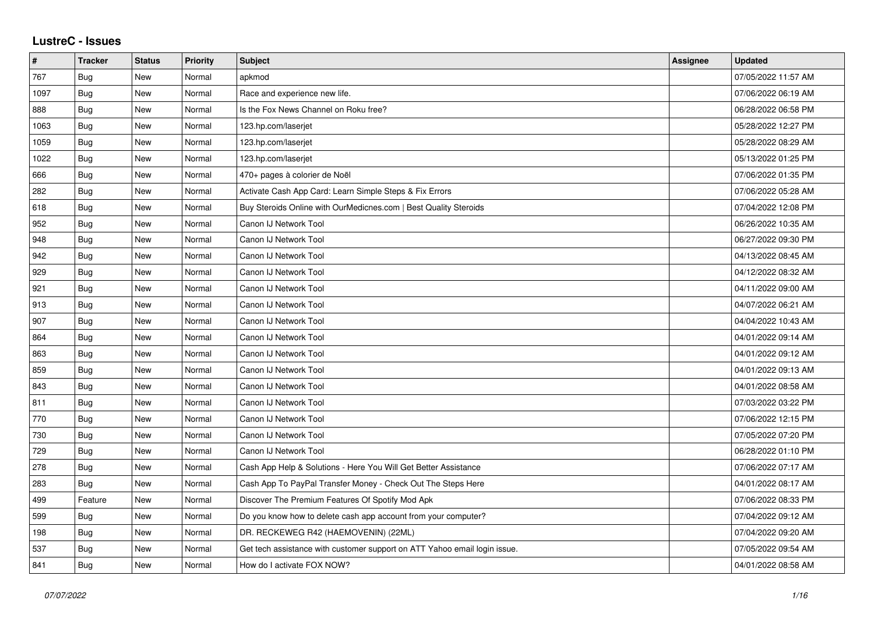## **LustreC - Issues**

| $\pmb{\#}$ | <b>Tracker</b> | <b>Status</b> | <b>Priority</b> | <b>Subject</b>                                                            | Assignee | <b>Updated</b>      |
|------------|----------------|---------------|-----------------|---------------------------------------------------------------------------|----------|---------------------|
| 767        | <b>Bug</b>     | New           | Normal          | apkmod                                                                    |          | 07/05/2022 11:57 AM |
| 1097       | <b>Bug</b>     | New           | Normal          | Race and experience new life.                                             |          | 07/06/2022 06:19 AM |
| 888        | Bug            | New           | Normal          | Is the Fox News Channel on Roku free?                                     |          | 06/28/2022 06:58 PM |
| 1063       | Bug            | New           | Normal          | 123.hp.com/laserjet                                                       |          | 05/28/2022 12:27 PM |
| 1059       | Bug            | New           | Normal          | 123.hp.com/laserjet                                                       |          | 05/28/2022 08:29 AM |
| 1022       | <b>Bug</b>     | New           | Normal          | 123.hp.com/laserjet                                                       |          | 05/13/2022 01:25 PM |
| 666        | <b>Bug</b>     | New           | Normal          | 470+ pages à colorier de Noël                                             |          | 07/06/2022 01:35 PM |
| 282        | <b>Bug</b>     | <b>New</b>    | Normal          | Activate Cash App Card: Learn Simple Steps & Fix Errors                   |          | 07/06/2022 05:28 AM |
| 618        | <b>Bug</b>     | New           | Normal          | Buy Steroids Online with OurMedicnes.com   Best Quality Steroids          |          | 07/04/2022 12:08 PM |
| 952        | Bug            | <b>New</b>    | Normal          | Canon IJ Network Tool                                                     |          | 06/26/2022 10:35 AM |
| 948        | Bug            | <b>New</b>    | Normal          | Canon IJ Network Tool                                                     |          | 06/27/2022 09:30 PM |
| 942        | Bug            | New           | Normal          | Canon IJ Network Tool                                                     |          | 04/13/2022 08:45 AM |
| 929        | Bug            | <b>New</b>    | Normal          | Canon IJ Network Tool                                                     |          | 04/12/2022 08:32 AM |
| 921        | Bug            | New           | Normal          | Canon IJ Network Tool                                                     |          | 04/11/2022 09:00 AM |
| 913        | Bug            | New           | Normal          | Canon IJ Network Tool                                                     |          | 04/07/2022 06:21 AM |
| 907        | Bug            | New           | Normal          | Canon IJ Network Tool                                                     |          | 04/04/2022 10:43 AM |
| 864        | Bug            | <b>New</b>    | Normal          | Canon IJ Network Tool                                                     |          | 04/01/2022 09:14 AM |
| 863        | <b>Bug</b>     | New           | Normal          | Canon IJ Network Tool                                                     |          | 04/01/2022 09:12 AM |
| 859        | <b>Bug</b>     | <b>New</b>    | Normal          | Canon IJ Network Tool                                                     |          | 04/01/2022 09:13 AM |
| 843        | Bug            | New           | Normal          | Canon IJ Network Tool                                                     |          | 04/01/2022 08:58 AM |
| 811        | Bug            | New           | Normal          | Canon IJ Network Tool                                                     |          | 07/03/2022 03:22 PM |
| 770        | Bug            | <b>New</b>    | Normal          | Canon IJ Network Tool                                                     |          | 07/06/2022 12:15 PM |
| 730        | <b>Bug</b>     | New           | Normal          | Canon IJ Network Tool                                                     |          | 07/05/2022 07:20 PM |
| 729        | Bug            | New           | Normal          | Canon IJ Network Tool                                                     |          | 06/28/2022 01:10 PM |
| 278        | Bug            | <b>New</b>    | Normal          | Cash App Help & Solutions - Here You Will Get Better Assistance           |          | 07/06/2022 07:17 AM |
| 283        | Bug            | New           | Normal          | Cash App To PayPal Transfer Money - Check Out The Steps Here              |          | 04/01/2022 08:17 AM |
| 499        | Feature        | New           | Normal          | Discover The Premium Features Of Spotify Mod Apk                          |          | 07/06/2022 08:33 PM |
| 599        | Bug            | New           | Normal          | Do you know how to delete cash app account from your computer?            |          | 07/04/2022 09:12 AM |
| 198        | Bug            | New           | Normal          | DR. RECKEWEG R42 (HAEMOVENIN) (22ML)                                      |          | 07/04/2022 09:20 AM |
| 537        | Bug            | New           | Normal          | Get tech assistance with customer support on ATT Yahoo email login issue. |          | 07/05/2022 09:54 AM |
| 841        | Bug            | New           | Normal          | How do I activate FOX NOW?                                                |          | 04/01/2022 08:58 AM |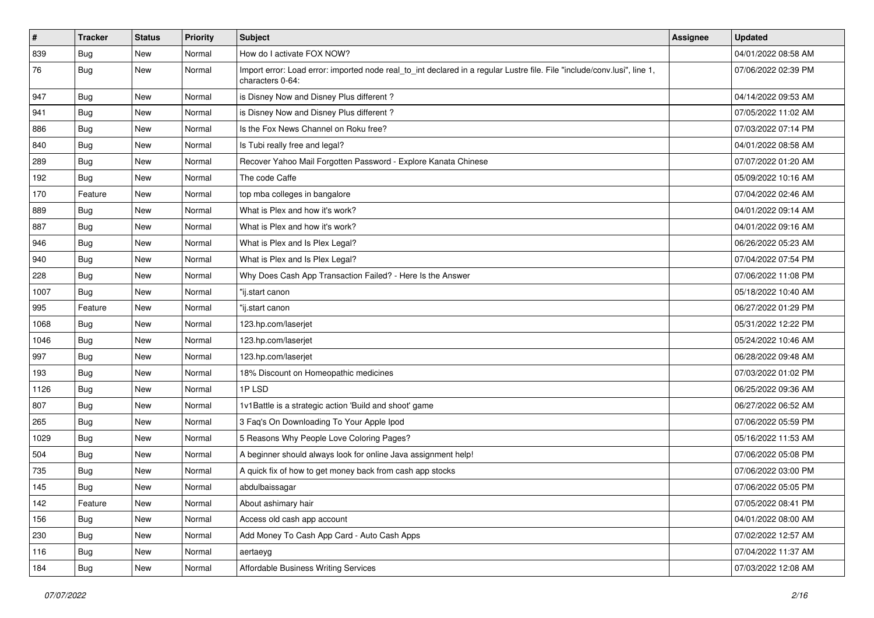| $\vert$ # | <b>Tracker</b> | <b>Status</b> | <b>Priority</b> | <b>Subject</b>                                                                                                                               | Assignee | <b>Updated</b>      |
|-----------|----------------|---------------|-----------------|----------------------------------------------------------------------------------------------------------------------------------------------|----------|---------------------|
| 839       | <b>Bug</b>     | New           | Normal          | How do I activate FOX NOW?                                                                                                                   |          | 04/01/2022 08:58 AM |
| 76        | <b>Bug</b>     | New           | Normal          | Import error: Load error: imported node real_to_int declared in a regular Lustre file. File "include/conv.lusi", line 1,<br>characters 0-64: |          | 07/06/2022 02:39 PM |
| 947       | <b>Bug</b>     | New           | Normal          | is Disney Now and Disney Plus different?                                                                                                     |          | 04/14/2022 09:53 AM |
| 941       | Bug            | New           | Normal          | is Disney Now and Disney Plus different?                                                                                                     |          | 07/05/2022 11:02 AM |
| 886       | <b>Bug</b>     | New           | Normal          | Is the Fox News Channel on Roku free?                                                                                                        |          | 07/03/2022 07:14 PM |
| 840       | Bug            | New           | Normal          | Is Tubi really free and legal?                                                                                                               |          | 04/01/2022 08:58 AM |
| 289       | Bug            | New           | Normal          | Recover Yahoo Mail Forgotten Password - Explore Kanata Chinese                                                                               |          | 07/07/2022 01:20 AM |
| 192       | Bug            | New           | Normal          | The code Caffe                                                                                                                               |          | 05/09/2022 10:16 AM |
| 170       | Feature        | <b>New</b>    | Normal          | top mba colleges in bangalore                                                                                                                |          | 07/04/2022 02:46 AM |
| 889       | Bug            | New           | Normal          | What is Plex and how it's work?                                                                                                              |          | 04/01/2022 09:14 AM |
| 887       | Bug            | New           | Normal          | What is Plex and how it's work?                                                                                                              |          | 04/01/2022 09:16 AM |
| 946       | Bug            | New           | Normal          | What is Plex and Is Plex Legal?                                                                                                              |          | 06/26/2022 05:23 AM |
| 940       | <b>Bug</b>     | New           | Normal          | What is Plex and Is Plex Legal?                                                                                                              |          | 07/04/2022 07:54 PM |
| 228       | <b>Bug</b>     | New           | Normal          | Why Does Cash App Transaction Failed? - Here Is the Answer                                                                                   |          | 07/06/2022 11:08 PM |
| 1007      | <b>Bug</b>     | New           | Normal          | "ij.start canon                                                                                                                              |          | 05/18/2022 10:40 AM |
| 995       | Feature        | New           | Normal          | "ij.start canon                                                                                                                              |          | 06/27/2022 01:29 PM |
| 1068      | Bug            | New           | Normal          | 123.hp.com/laserjet                                                                                                                          |          | 05/31/2022 12:22 PM |
| 1046      | <b>Bug</b>     | New           | Normal          | 123.hp.com/laserjet                                                                                                                          |          | 05/24/2022 10:46 AM |
| 997       | Bug            | New           | Normal          | 123.hp.com/laserjet                                                                                                                          |          | 06/28/2022 09:48 AM |
| 193       | Bug            | New           | Normal          | 18% Discount on Homeopathic medicines                                                                                                        |          | 07/03/2022 01:02 PM |
| 1126      | <b>Bug</b>     | New           | Normal          | 1PLSD                                                                                                                                        |          | 06/25/2022 09:36 AM |
| 807       | Bug            | New           | Normal          | 1v1Battle is a strategic action 'Build and shoot' game                                                                                       |          | 06/27/2022 06:52 AM |
| 265       | <b>Bug</b>     | New           | Normal          | 3 Faq's On Downloading To Your Apple Ipod                                                                                                    |          | 07/06/2022 05:59 PM |
| 1029      | <b>Bug</b>     | New           | Normal          | 5 Reasons Why People Love Coloring Pages?                                                                                                    |          | 05/16/2022 11:53 AM |
| 504       | <b>Bug</b>     | New           | Normal          | A beginner should always look for online Java assignment help!                                                                               |          | 07/06/2022 05:08 PM |
| 735       | <b>Bug</b>     | New           | Normal          | A quick fix of how to get money back from cash app stocks                                                                                    |          | 07/06/2022 03:00 PM |
| 145       | <b>Bug</b>     | New           | Normal          | abdulbaissagar                                                                                                                               |          | 07/06/2022 05:05 PM |
| 142       | Feature        | New           | Normal          | About ashimary hair                                                                                                                          |          | 07/05/2022 08:41 PM |
| 156       | Bug            | New           | Normal          | Access old cash app account                                                                                                                  |          | 04/01/2022 08:00 AM |
| 230       | Bug            | New           | Normal          | Add Money To Cash App Card - Auto Cash Apps                                                                                                  |          | 07/02/2022 12:57 AM |
| 116       | <b>Bug</b>     | New           | Normal          | aertaeyg                                                                                                                                     |          | 07/04/2022 11:37 AM |
| 184       | Bug            | New           | Normal          | <b>Affordable Business Writing Services</b>                                                                                                  |          | 07/03/2022 12:08 AM |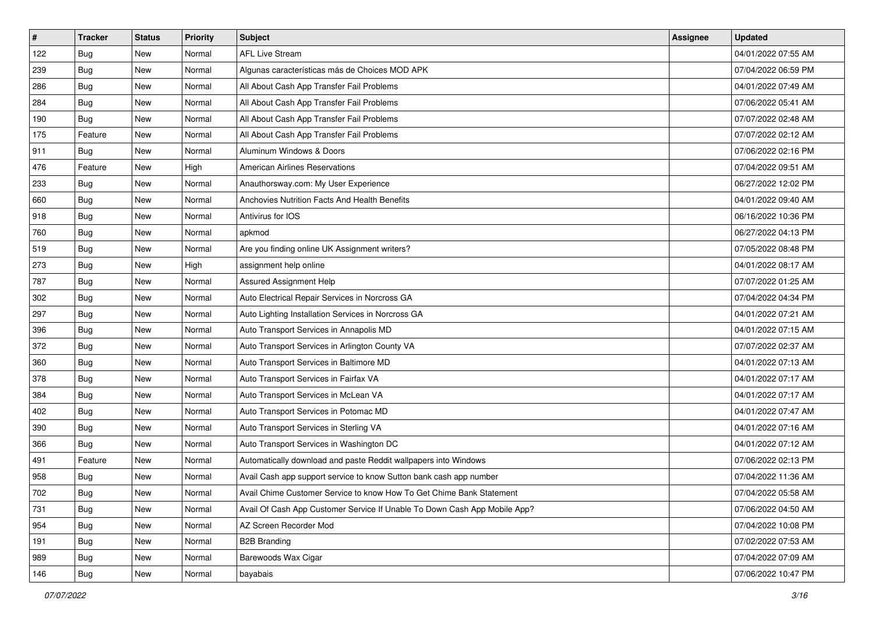| $\vert$ # | <b>Tracker</b> | <b>Status</b> | <b>Priority</b> | Subject                                                                   | Assignee | <b>Updated</b>      |
|-----------|----------------|---------------|-----------------|---------------------------------------------------------------------------|----------|---------------------|
| 122       | <b>Bug</b>     | New           | Normal          | <b>AFL Live Stream</b>                                                    |          | 04/01/2022 07:55 AM |
| 239       | <b>Bug</b>     | New           | Normal          | Algunas características más de Choices MOD APK                            |          | 07/04/2022 06:59 PM |
| 286       | Bug            | New           | Normal          | All About Cash App Transfer Fail Problems                                 |          | 04/01/2022 07:49 AM |
| 284       | Bug            | New           | Normal          | All About Cash App Transfer Fail Problems                                 |          | 07/06/2022 05:41 AM |
| 190       | <b>Bug</b>     | New           | Normal          | All About Cash App Transfer Fail Problems                                 |          | 07/07/2022 02:48 AM |
| 175       | Feature        | New           | Normal          | All About Cash App Transfer Fail Problems                                 |          | 07/07/2022 02:12 AM |
| 911       | Bug            | New           | Normal          | Aluminum Windows & Doors                                                  |          | 07/06/2022 02:16 PM |
| 476       | Feature        | New           | High            | <b>American Airlines Reservations</b>                                     |          | 07/04/2022 09:51 AM |
| 233       | Bug            | New           | Normal          | Anauthorsway.com: My User Experience                                      |          | 06/27/2022 12:02 PM |
| 660       | <b>Bug</b>     | New           | Normal          | Anchovies Nutrition Facts And Health Benefits                             |          | 04/01/2022 09:40 AM |
| 918       | <b>Bug</b>     | New           | Normal          | Antivirus for IOS                                                         |          | 06/16/2022 10:36 PM |
| 760       | Bug            | New           | Normal          | apkmod                                                                    |          | 06/27/2022 04:13 PM |
| 519       | <b>Bug</b>     | New           | Normal          | Are you finding online UK Assignment writers?                             |          | 07/05/2022 08:48 PM |
| 273       | Bug            | New           | High            | assignment help online                                                    |          | 04/01/2022 08:17 AM |
| 787       | <b>Bug</b>     | New           | Normal          | <b>Assured Assignment Help</b>                                            |          | 07/07/2022 01:25 AM |
| 302       | Bug            | New           | Normal          | Auto Electrical Repair Services in Norcross GA                            |          | 07/04/2022 04:34 PM |
| 297       | <b>Bug</b>     | New           | Normal          | Auto Lighting Installation Services in Norcross GA                        |          | 04/01/2022 07:21 AM |
| 396       | Bug            | New           | Normal          | Auto Transport Services in Annapolis MD                                   |          | 04/01/2022 07:15 AM |
| 372       | <b>Bug</b>     | New           | Normal          | Auto Transport Services in Arlington County VA                            |          | 07/07/2022 02:37 AM |
| 360       | Bug            | New           | Normal          | Auto Transport Services in Baltimore MD                                   |          | 04/01/2022 07:13 AM |
| 378       | <b>Bug</b>     | New           | Normal          | Auto Transport Services in Fairfax VA                                     |          | 04/01/2022 07:17 AM |
| 384       | <b>Bug</b>     | New           | Normal          | Auto Transport Services in McLean VA                                      |          | 04/01/2022 07:17 AM |
| 402       | Bug            | New           | Normal          | Auto Transport Services in Potomac MD                                     |          | 04/01/2022 07:47 AM |
| 390       | <b>Bug</b>     | New           | Normal          | Auto Transport Services in Sterling VA                                    |          | 04/01/2022 07:16 AM |
| 366       | <b>Bug</b>     | New           | Normal          | Auto Transport Services in Washington DC                                  |          | 04/01/2022 07:12 AM |
| 491       | Feature        | New           | Normal          | Automatically download and paste Reddit wallpapers into Windows           |          | 07/06/2022 02:13 PM |
| 958       | <b>Bug</b>     | New           | Normal          | Avail Cash app support service to know Sutton bank cash app number        |          | 07/04/2022 11:36 AM |
| 702       | <b>Bug</b>     | New           | Normal          | Avail Chime Customer Service to know How To Get Chime Bank Statement      |          | 07/04/2022 05:58 AM |
| 731       | <b>Bug</b>     | New           | Normal          | Avail Of Cash App Customer Service If Unable To Down Cash App Mobile App? |          | 07/06/2022 04:50 AM |
| 954       | Bug            | New           | Normal          | AZ Screen Recorder Mod                                                    |          | 07/04/2022 10:08 PM |
| 191       | <b>Bug</b>     | New           | Normal          | <b>B2B Branding</b>                                                       |          | 07/02/2022 07:53 AM |
| 989       | <b>Bug</b>     | New           | Normal          | Barewoods Wax Cigar                                                       |          | 07/04/2022 07:09 AM |
| 146       | <b>Bug</b>     | New           | Normal          | bayabais                                                                  |          | 07/06/2022 10:47 PM |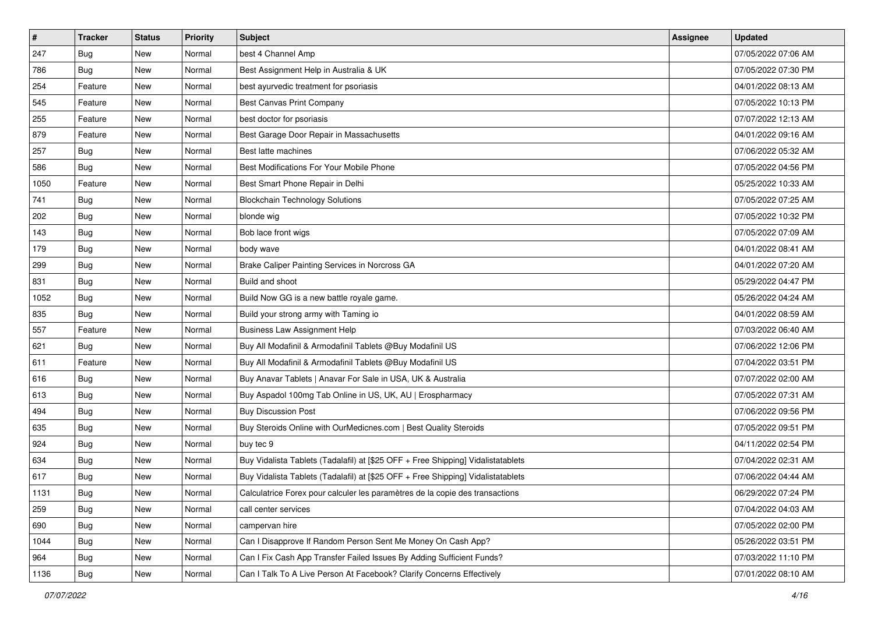| $\vert$ # | <b>Tracker</b> | <b>Status</b> | <b>Priority</b> | Subject                                                                          | Assignee | <b>Updated</b>      |
|-----------|----------------|---------------|-----------------|----------------------------------------------------------------------------------|----------|---------------------|
| 247       | <b>Bug</b>     | New           | Normal          | best 4 Channel Amp                                                               |          | 07/05/2022 07:06 AM |
| 786       | <b>Bug</b>     | New           | Normal          | Best Assignment Help in Australia & UK                                           |          | 07/05/2022 07:30 PM |
| 254       | Feature        | New           | Normal          | best ayurvedic treatment for psoriasis                                           |          | 04/01/2022 08:13 AM |
| 545       | Feature        | New           | Normal          | <b>Best Canvas Print Company</b>                                                 |          | 07/05/2022 10:13 PM |
| 255       | Feature        | New           | Normal          | best doctor for psoriasis                                                        |          | 07/07/2022 12:13 AM |
| 879       | Feature        | New           | Normal          | Best Garage Door Repair in Massachusetts                                         |          | 04/01/2022 09:16 AM |
| 257       | Bug            | New           | Normal          | Best latte machines                                                              |          | 07/06/2022 05:32 AM |
| 586       | Bug            | New           | Normal          | Best Modifications For Your Mobile Phone                                         |          | 07/05/2022 04:56 PM |
| 1050      | Feature        | New           | Normal          | Best Smart Phone Repair in Delhi                                                 |          | 05/25/2022 10:33 AM |
| 741       | Bug            | New           | Normal          | <b>Blockchain Technology Solutions</b>                                           |          | 07/05/2022 07:25 AM |
| 202       | <b>Bug</b>     | New           | Normal          | blonde wig                                                                       |          | 07/05/2022 10:32 PM |
| 143       | Bug            | New           | Normal          | Bob lace front wigs                                                              |          | 07/05/2022 07:09 AM |
| 179       | Bug            | New           | Normal          | body wave                                                                        |          | 04/01/2022 08:41 AM |
| 299       | <b>Bug</b>     | New           | Normal          | Brake Caliper Painting Services in Norcross GA                                   |          | 04/01/2022 07:20 AM |
| 831       | <b>Bug</b>     | New           | Normal          | Build and shoot                                                                  |          | 05/29/2022 04:47 PM |
| 1052      | Bug            | New           | Normal          | Build Now GG is a new battle royale game.                                        |          | 05/26/2022 04:24 AM |
| 835       | Bug            | New           | Normal          | Build your strong army with Taming io                                            |          | 04/01/2022 08:59 AM |
| 557       | Feature        | New           | Normal          | <b>Business Law Assignment Help</b>                                              |          | 07/03/2022 06:40 AM |
| 621       | Bug            | New           | Normal          | Buy All Modafinil & Armodafinil Tablets @Buy Modafinil US                        |          | 07/06/2022 12:06 PM |
| 611       | Feature        | New           | Normal          | Buy All Modafinil & Armodafinil Tablets @Buy Modafinil US                        |          | 07/04/2022 03:51 PM |
| 616       | <b>Bug</b>     | New           | Normal          | Buy Anavar Tablets   Anavar For Sale in USA, UK & Australia                      |          | 07/07/2022 02:00 AM |
| 613       | Bug            | New           | Normal          | Buy Aspadol 100mg Tab Online in US, UK, AU   Erospharmacy                        |          | 07/05/2022 07:31 AM |
| 494       | Bug            | New           | Normal          | <b>Buy Discussion Post</b>                                                       |          | 07/06/2022 09:56 PM |
| 635       | <b>Bug</b>     | New           | Normal          | Buy Steroids Online with OurMedicnes.com   Best Quality Steroids                 |          | 07/05/2022 09:51 PM |
| 924       | Bug            | New           | Normal          | buy tec 9                                                                        |          | 04/11/2022 02:54 PM |
| 634       | Bug            | New           | Normal          | Buy Vidalista Tablets (Tadalafil) at [\$25 OFF + Free Shipping] Vidalistatablets |          | 07/04/2022 02:31 AM |
| 617       | <b>Bug</b>     | New           | Normal          | Buy Vidalista Tablets (Tadalafil) at [\$25 OFF + Free Shipping] Vidalistatablets |          | 07/06/2022 04:44 AM |
| 1131      | Bug            | New           | Normal          | Calculatrice Forex pour calculer les paramètres de la copie des transactions     |          | 06/29/2022 07:24 PM |
| 259       | <b>Bug</b>     | New           | Normal          | call center services                                                             |          | 07/04/2022 04:03 AM |
| 690       | Bug            | New           | Normal          | campervan hire                                                                   |          | 07/05/2022 02:00 PM |
| 1044      | Bug            | New           | Normal          | Can I Disapprove If Random Person Sent Me Money On Cash App?                     |          | 05/26/2022 03:51 PM |
| 964       | Bug            | New           | Normal          | Can I Fix Cash App Transfer Failed Issues By Adding Sufficient Funds?            |          | 07/03/2022 11:10 PM |
| 1136      | <b>Bug</b>     | New           | Normal          | Can I Talk To A Live Person At Facebook? Clarify Concerns Effectively            |          | 07/01/2022 08:10 AM |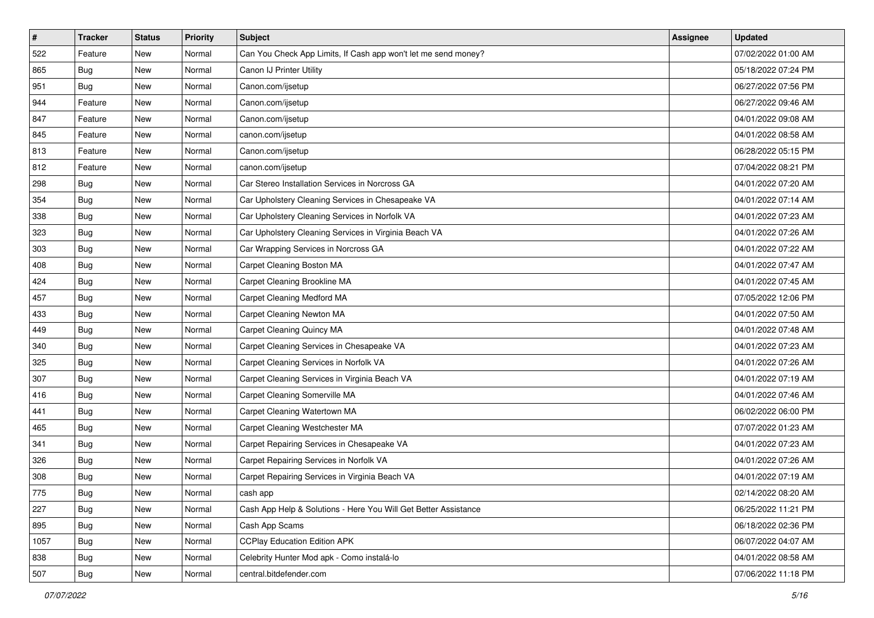| $\vert$ # | <b>Tracker</b> | <b>Status</b> | Priority | <b>Subject</b>                                                  | Assignee | <b>Updated</b>      |
|-----------|----------------|---------------|----------|-----------------------------------------------------------------|----------|---------------------|
| 522       | Feature        | New           | Normal   | Can You Check App Limits, If Cash app won't let me send money?  |          | 07/02/2022 01:00 AM |
| 865       | Bug            | New           | Normal   | Canon IJ Printer Utility                                        |          | 05/18/2022 07:24 PM |
| 951       | Bug            | New           | Normal   | Canon.com/ijsetup                                               |          | 06/27/2022 07:56 PM |
| 944       | Feature        | New           | Normal   | Canon.com/ijsetup                                               |          | 06/27/2022 09:46 AM |
| 847       | Feature        | New           | Normal   | Canon.com/ijsetup                                               |          | 04/01/2022 09:08 AM |
| 845       | Feature        | New           | Normal   | canon.com/ijsetup                                               |          | 04/01/2022 08:58 AM |
| 813       | Feature        | New           | Normal   | Canon.com/ijsetup                                               |          | 06/28/2022 05:15 PM |
| 812       | Feature        | New           | Normal   | canon.com/ijsetup                                               |          | 07/04/2022 08:21 PM |
| 298       | Bug            | New           | Normal   | Car Stereo Installation Services in Norcross GA                 |          | 04/01/2022 07:20 AM |
| 354       | <b>Bug</b>     | New           | Normal   | Car Upholstery Cleaning Services in Chesapeake VA               |          | 04/01/2022 07:14 AM |
| 338       | <b>Bug</b>     | New           | Normal   | Car Upholstery Cleaning Services in Norfolk VA                  |          | 04/01/2022 07:23 AM |
| 323       | <b>Bug</b>     | New           | Normal   | Car Upholstery Cleaning Services in Virginia Beach VA           |          | 04/01/2022 07:26 AM |
| 303       | Bug            | New           | Normal   | Car Wrapping Services in Norcross GA                            |          | 04/01/2022 07:22 AM |
| 408       | <b>Bug</b>     | New           | Normal   | Carpet Cleaning Boston MA                                       |          | 04/01/2022 07:47 AM |
| 424       | <b>Bug</b>     | New           | Normal   | Carpet Cleaning Brookline MA                                    |          | 04/01/2022 07:45 AM |
| 457       | <b>Bug</b>     | New           | Normal   | Carpet Cleaning Medford MA                                      |          | 07/05/2022 12:06 PM |
| 433       | Bug            | New           | Normal   | Carpet Cleaning Newton MA                                       |          | 04/01/2022 07:50 AM |
| 449       | <b>Bug</b>     | New           | Normal   | Carpet Cleaning Quincy MA                                       |          | 04/01/2022 07:48 AM |
| 340       | <b>Bug</b>     | New           | Normal   | Carpet Cleaning Services in Chesapeake VA                       |          | 04/01/2022 07:23 AM |
| 325       | <b>Bug</b>     | New           | Normal   | Carpet Cleaning Services in Norfolk VA                          |          | 04/01/2022 07:26 AM |
| 307       | <b>Bug</b>     | New           | Normal   | Carpet Cleaning Services in Virginia Beach VA                   |          | 04/01/2022 07:19 AM |
| 416       | <b>Bug</b>     | New           | Normal   | Carpet Cleaning Somerville MA                                   |          | 04/01/2022 07:46 AM |
| 441       | <b>Bug</b>     | New           | Normal   | Carpet Cleaning Watertown MA                                    |          | 06/02/2022 06:00 PM |
| 465       | <b>Bug</b>     | New           | Normal   | Carpet Cleaning Westchester MA                                  |          | 07/07/2022 01:23 AM |
| 341       | Bug            | New           | Normal   | Carpet Repairing Services in Chesapeake VA                      |          | 04/01/2022 07:23 AM |
| 326       | Bug            | New           | Normal   | Carpet Repairing Services in Norfolk VA                         |          | 04/01/2022 07:26 AM |
| 308       | <b>Bug</b>     | New           | Normal   | Carpet Repairing Services in Virginia Beach VA                  |          | 04/01/2022 07:19 AM |
| 775       | <b>Bug</b>     | New           | Normal   | cash app                                                        |          | 02/14/2022 08:20 AM |
| 227       | <b>Bug</b>     | New           | Normal   | Cash App Help & Solutions - Here You Will Get Better Assistance |          | 06/25/2022 11:21 PM |
| 895       | <b>Bug</b>     | New           | Normal   | Cash App Scams                                                  |          | 06/18/2022 02:36 PM |
| 1057      | <b>Bug</b>     | New           | Normal   | <b>CCPlay Education Edition APK</b>                             |          | 06/07/2022 04:07 AM |
| 838       | <b>Bug</b>     | New           | Normal   | Celebrity Hunter Mod apk - Como instalá-lo                      |          | 04/01/2022 08:58 AM |
| 507       | <b>Bug</b>     | New           | Normal   | central.bitdefender.com                                         |          | 07/06/2022 11:18 PM |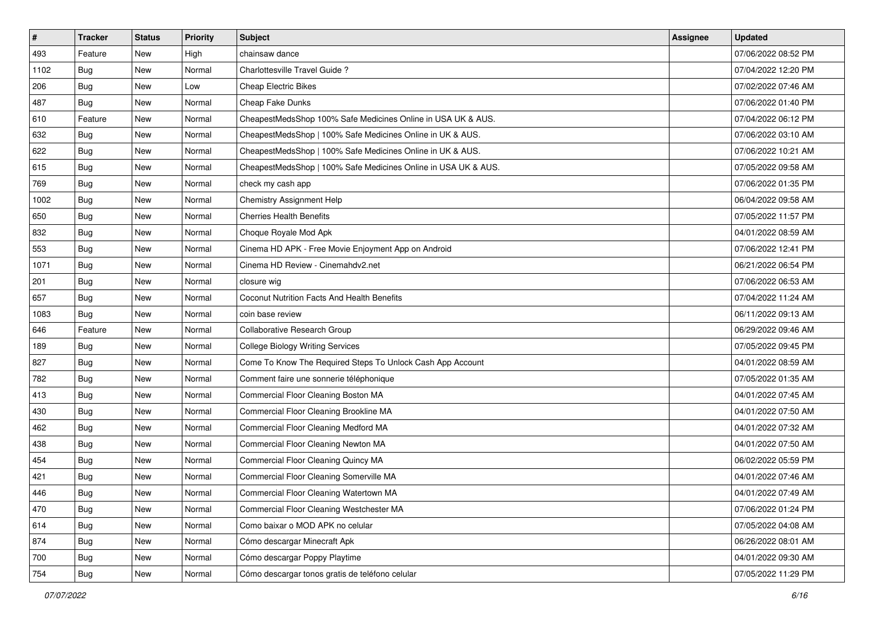| $\vert$ # | <b>Tracker</b> | <b>Status</b> | <b>Priority</b> | Subject                                                        | Assignee | <b>Updated</b>      |
|-----------|----------------|---------------|-----------------|----------------------------------------------------------------|----------|---------------------|
| 493       | Feature        | New           | High            | chainsaw dance                                                 |          | 07/06/2022 08:52 PM |
| 1102      | <b>Bug</b>     | New           | Normal          | Charlottesville Travel Guide ?                                 |          | 07/04/2022 12:20 PM |
| 206       | Bug            | New           | Low             | <b>Cheap Electric Bikes</b>                                    |          | 07/02/2022 07:46 AM |
| 487       | Bug            | New           | Normal          | Cheap Fake Dunks                                               |          | 07/06/2022 01:40 PM |
| 610       | Feature        | New           | Normal          | CheapestMedsShop 100% Safe Medicines Online in USA UK & AUS.   |          | 07/04/2022 06:12 PM |
| 632       | <b>Bug</b>     | New           | Normal          | CheapestMedsShop   100% Safe Medicines Online in UK & AUS.     |          | 07/06/2022 03:10 AM |
| 622       | Bug            | New           | Normal          | CheapestMedsShop   100% Safe Medicines Online in UK & AUS.     |          | 07/06/2022 10:21 AM |
| 615       | Bug            | New           | Normal          | CheapestMedsShop   100% Safe Medicines Online in USA UK & AUS. |          | 07/05/2022 09:58 AM |
| 769       | Bug            | New           | Normal          | check my cash app                                              |          | 07/06/2022 01:35 PM |
| 1002      | Bug            | New           | Normal          | Chemistry Assignment Help                                      |          | 06/04/2022 09:58 AM |
| 650       | Bug            | New           | Normal          | <b>Cherries Health Benefits</b>                                |          | 07/05/2022 11:57 PM |
| 832       | Bug            | New           | Normal          | Choque Royale Mod Apk                                          |          | 04/01/2022 08:59 AM |
| 553       | Bug            | New           | Normal          | Cinema HD APK - Free Movie Enjoyment App on Android            |          | 07/06/2022 12:41 PM |
| 1071      | <b>Bug</b>     | New           | Normal          | Cinema HD Review - Cinemahdy2.net                              |          | 06/21/2022 06:54 PM |
| 201       | Bug            | New           | Normal          | closure wig                                                    |          | 07/06/2022 06:53 AM |
| 657       | Bug            | New           | Normal          | Coconut Nutrition Facts And Health Benefits                    |          | 07/04/2022 11:24 AM |
| 1083      | <b>Bug</b>     | New           | Normal          | coin base review                                               |          | 06/11/2022 09:13 AM |
| 646       | Feature        | New           | Normal          | Collaborative Research Group                                   |          | 06/29/2022 09:46 AM |
| 189       | Bug            | New           | Normal          | <b>College Biology Writing Services</b>                        |          | 07/05/2022 09:45 PM |
| 827       | Bug            | New           | Normal          | Come To Know The Required Steps To Unlock Cash App Account     |          | 04/01/2022 08:59 AM |
| 782       | <b>Bug</b>     | New           | Normal          | Comment faire une sonnerie téléphonique                        |          | 07/05/2022 01:35 AM |
| 413       | Bug            | New           | Normal          | Commercial Floor Cleaning Boston MA                            |          | 04/01/2022 07:45 AM |
| 430       | Bug            | New           | Normal          | Commercial Floor Cleaning Brookline MA                         |          | 04/01/2022 07:50 AM |
| 462       | <b>Bug</b>     | New           | Normal          | Commercial Floor Cleaning Medford MA                           |          | 04/01/2022 07:32 AM |
| 438       | Bug            | New           | Normal          | Commercial Floor Cleaning Newton MA                            |          | 04/01/2022 07:50 AM |
| 454       | Bug            | New           | Normal          | Commercial Floor Cleaning Quincy MA                            |          | 06/02/2022 05:59 PM |
| 421       | <b>Bug</b>     | New           | Normal          | Commercial Floor Cleaning Somerville MA                        |          | 04/01/2022 07:46 AM |
| 446       | I Bug          | New           | Normal          | Commercial Floor Cleaning Watertown MA                         |          | 04/01/2022 07:49 AM |
| 470       | <b>Bug</b>     | New           | Normal          | Commercial Floor Cleaning Westchester MA                       |          | 07/06/2022 01:24 PM |
| 614       | Bug            | New           | Normal          | Como baixar o MOD APK no celular                               |          | 07/05/2022 04:08 AM |
| 874       | Bug            | New           | Normal          | Cómo descargar Minecraft Apk                                   |          | 06/26/2022 08:01 AM |
| 700       | <b>Bug</b>     | New           | Normal          | Cómo descargar Poppy Playtime                                  |          | 04/01/2022 09:30 AM |
| 754       | <b>Bug</b>     | New           | Normal          | Cómo descargar tonos gratis de teléfono celular                |          | 07/05/2022 11:29 PM |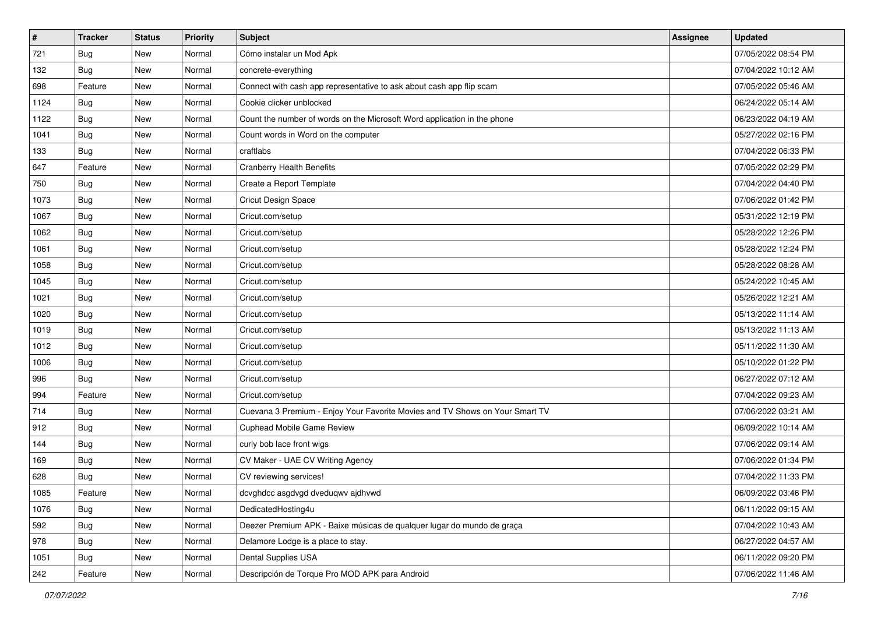| $\vert$ # | <b>Tracker</b> | <b>Status</b> | <b>Priority</b> | Subject                                                                      | Assignee | <b>Updated</b>      |
|-----------|----------------|---------------|-----------------|------------------------------------------------------------------------------|----------|---------------------|
| 721       | <b>Bug</b>     | New           | Normal          | Cómo instalar un Mod Apk                                                     |          | 07/05/2022 08:54 PM |
| 132       | Bug            | New           | Normal          | concrete-everything                                                          |          | 07/04/2022 10:12 AM |
| 698       | Feature        | <b>New</b>    | Normal          | Connect with cash app representative to ask about cash app flip scam         |          | 07/05/2022 05:46 AM |
| 1124      | Bug            | New           | Normal          | Cookie clicker unblocked                                                     |          | 06/24/2022 05:14 AM |
| 1122      | Bug            | New           | Normal          | Count the number of words on the Microsoft Word application in the phone     |          | 06/23/2022 04:19 AM |
| 1041      | <b>Bug</b>     | New           | Normal          | Count words in Word on the computer                                          |          | 05/27/2022 02:16 PM |
| 133       | Bug            | New           | Normal          | craftlabs                                                                    |          | 07/04/2022 06:33 PM |
| 647       | Feature        | <b>New</b>    | Normal          | <b>Cranberry Health Benefits</b>                                             |          | 07/05/2022 02:29 PM |
| 750       | <b>Bug</b>     | New           | Normal          | Create a Report Template                                                     |          | 07/04/2022 04:40 PM |
| 1073      | Bug            | New           | Normal          | Cricut Design Space                                                          |          | 07/06/2022 01:42 PM |
| 1067      | Bug            | New           | Normal          | Cricut.com/setup                                                             |          | 05/31/2022 12:19 PM |
| 1062      | Bug            | New           | Normal          | Cricut.com/setup                                                             |          | 05/28/2022 12:26 PM |
| 1061      | <b>Bug</b>     | <b>New</b>    | Normal          | Cricut.com/setup                                                             |          | 05/28/2022 12:24 PM |
| 1058      | <b>Bug</b>     | <b>New</b>    | Normal          | Cricut.com/setup                                                             |          | 05/28/2022 08:28 AM |
| 1045      | Bug            | <b>New</b>    | Normal          | Cricut.com/setup                                                             |          | 05/24/2022 10:45 AM |
| 1021      | Bug            | New           | Normal          | Cricut.com/setup                                                             |          | 05/26/2022 12:21 AM |
| 1020      | Bug            | New           | Normal          | Cricut.com/setup                                                             |          | 05/13/2022 11:14 AM |
| 1019      | Bug            | <b>New</b>    | Normal          | Cricut.com/setup                                                             |          | 05/13/2022 11:13 AM |
| 1012      | <b>Bug</b>     | New           | Normal          | Cricut.com/setup                                                             |          | 05/11/2022 11:30 AM |
| 1006      | Bug            | <b>New</b>    | Normal          | Cricut.com/setup                                                             |          | 05/10/2022 01:22 PM |
| 996       | <b>Bug</b>     | New           | Normal          | Cricut.com/setup                                                             |          | 06/27/2022 07:12 AM |
| 994       | Feature        | <b>New</b>    | Normal          | Cricut.com/setup                                                             |          | 07/04/2022 09:23 AM |
| 714       | Bug            | <b>New</b>    | Normal          | Cuevana 3 Premium - Enjoy Your Favorite Movies and TV Shows on Your Smart TV |          | 07/06/2022 03:21 AM |
| 912       | <b>Bug</b>     | New           | Normal          | Cuphead Mobile Game Review                                                   |          | 06/09/2022 10:14 AM |
| 144       | <b>Bug</b>     | New           | Normal          | curly bob lace front wigs                                                    |          | 07/06/2022 09:14 AM |
| 169       | <b>Bug</b>     | New           | Normal          | CV Maker - UAE CV Writing Agency                                             |          | 07/06/2022 01:34 PM |
| 628       | <b>Bug</b>     | New           | Normal          | CV reviewing services!                                                       |          | 07/04/2022 11:33 PM |
| 1085      | Feature        | New           | Normal          | dcvghdcc asgdvgd dveduqwv ajdhvwd                                            |          | 06/09/2022 03:46 PM |
| 1076      | Bug            | New           | Normal          | DedicatedHosting4u                                                           |          | 06/11/2022 09:15 AM |
| 592       | Bug            | New           | Normal          | Deezer Premium APK - Baixe músicas de qualquer lugar do mundo de graça       |          | 07/04/2022 10:43 AM |
| 978       | Bug            | New           | Normal          | Delamore Lodge is a place to stay.                                           |          | 06/27/2022 04:57 AM |
| 1051      | <b>Bug</b>     | New           | Normal          | Dental Supplies USA                                                          |          | 06/11/2022 09:20 PM |
| 242       | Feature        | New           | Normal          | Descripción de Torque Pro MOD APK para Android                               |          | 07/06/2022 11:46 AM |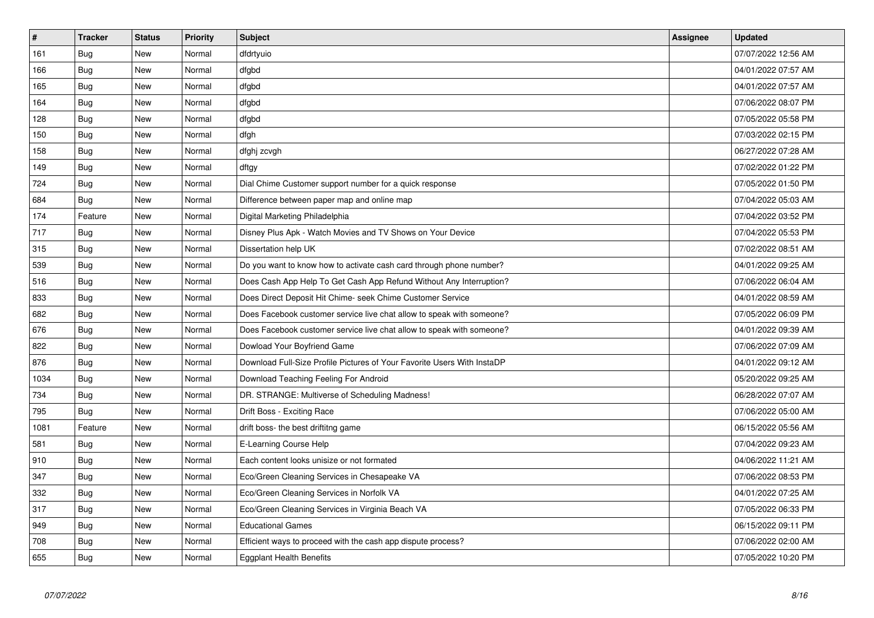| $\pmb{\#}$ | <b>Tracker</b> | <b>Status</b> | <b>Priority</b> | <b>Subject</b>                                                          | Assignee | <b>Updated</b>      |
|------------|----------------|---------------|-----------------|-------------------------------------------------------------------------|----------|---------------------|
| 161        | Bug            | <b>New</b>    | Normal          | dfdrtyuio                                                               |          | 07/07/2022 12:56 AM |
| 166        | Bug            | New           | Normal          | dfgbd                                                                   |          | 04/01/2022 07:57 AM |
| 165        | Bug            | New           | Normal          | dfgbd                                                                   |          | 04/01/2022 07:57 AM |
| 164        | <b>Bug</b>     | New           | Normal          | dfgbd                                                                   |          | 07/06/2022 08:07 PM |
| 128        | <b>Bug</b>     | New           | Normal          | dfgbd                                                                   |          | 07/05/2022 05:58 PM |
| 150        | Bug            | <b>New</b>    | Normal          | dfgh                                                                    |          | 07/03/2022 02:15 PM |
| 158        | Bug            | New           | Normal          | dfghj zcvgh                                                             |          | 06/27/2022 07:28 AM |
| 149        | Bug            | New           | Normal          | dftgy                                                                   |          | 07/02/2022 01:22 PM |
| 724        | Bug            | New           | Normal          | Dial Chime Customer support number for a quick response                 |          | 07/05/2022 01:50 PM |
| 684        | <b>Bug</b>     | New           | Normal          | Difference between paper map and online map                             |          | 07/04/2022 05:03 AM |
| 174        | Feature        | New           | Normal          | Digital Marketing Philadelphia                                          |          | 07/04/2022 03:52 PM |
| 717        | Bug            | New           | Normal          | Disney Plus Apk - Watch Movies and TV Shows on Your Device              |          | 07/04/2022 05:53 PM |
| 315        | <b>Bug</b>     | <b>New</b>    | Normal          | Dissertation help UK                                                    |          | 07/02/2022 08:51 AM |
| 539        | Bug            | New           | Normal          | Do you want to know how to activate cash card through phone number?     |          | 04/01/2022 09:25 AM |
| 516        | Bug            | New           | Normal          | Does Cash App Help To Get Cash App Refund Without Any Interruption?     |          | 07/06/2022 06:04 AM |
| 833        | Bug            | <b>New</b>    | Normal          | Does Direct Deposit Hit Chime- seek Chime Customer Service              |          | 04/01/2022 08:59 AM |
| 682        | <b>Bug</b>     | New           | Normal          | Does Facebook customer service live chat allow to speak with someone?   |          | 07/05/2022 06:09 PM |
| 676        | Bug            | New           | Normal          | Does Facebook customer service live chat allow to speak with someone?   |          | 04/01/2022 09:39 AM |
| 822        | Bug            | New           | Normal          | Dowload Your Boyfriend Game                                             |          | 07/06/2022 07:09 AM |
| 876        | <b>Bug</b>     | New           | Normal          | Download Full-Size Profile Pictures of Your Favorite Users With InstaDP |          | 04/01/2022 09:12 AM |
| 1034       | <b>Bug</b>     | New           | Normal          | Download Teaching Feeling For Android                                   |          | 05/20/2022 09:25 AM |
| 734        | Bug            | <b>New</b>    | Normal          | DR. STRANGE: Multiverse of Scheduling Madness!                          |          | 06/28/2022 07:07 AM |
| 795        | Bug            | <b>New</b>    | Normal          | Drift Boss - Exciting Race                                              |          | 07/06/2022 05:00 AM |
| 1081       | Feature        | New           | Normal          | drift boss- the best driftitng game                                     |          | 06/15/2022 05:56 AM |
| 581        | <b>Bug</b>     | <b>New</b>    | Normal          | E-Learning Course Help                                                  |          | 07/04/2022 09:23 AM |
| 910        | Bug            | <b>New</b>    | Normal          | Each content looks unisize or not formated                              |          | 04/06/2022 11:21 AM |
| 347        | <b>Bug</b>     | <b>New</b>    | Normal          | Eco/Green Cleaning Services in Chesapeake VA                            |          | 07/06/2022 08:53 PM |
| 332        | <b>Bug</b>     | <b>New</b>    | Normal          | Eco/Green Cleaning Services in Norfolk VA                               |          | 04/01/2022 07:25 AM |
| 317        | Bug            | <b>New</b>    | Normal          | Eco/Green Cleaning Services in Virginia Beach VA                        |          | 07/05/2022 06:33 PM |
| 949        | Bug            | New           | Normal          | <b>Educational Games</b>                                                |          | 06/15/2022 09:11 PM |
| 708        | <b>Bug</b>     | <b>New</b>    | Normal          | Efficient ways to proceed with the cash app dispute process?            |          | 07/06/2022 02:00 AM |
| 655        | Bug            | <b>New</b>    | Normal          | <b>Eggplant Health Benefits</b>                                         |          | 07/05/2022 10:20 PM |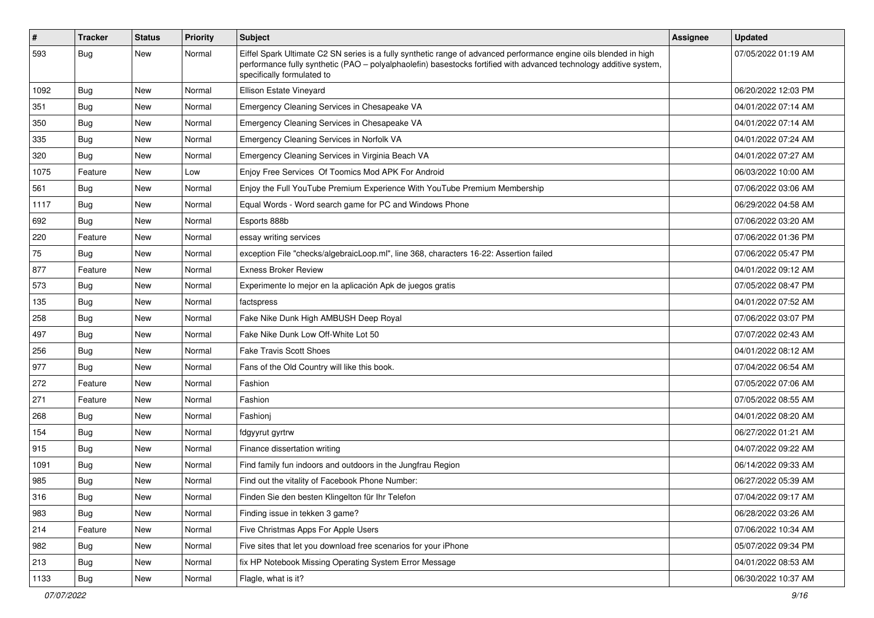| #    | <b>Tracker</b> | <b>Status</b> | <b>Priority</b> | Subject                                                                                                                                                                                                                                                               | Assignee | <b>Updated</b>      |
|------|----------------|---------------|-----------------|-----------------------------------------------------------------------------------------------------------------------------------------------------------------------------------------------------------------------------------------------------------------------|----------|---------------------|
| 593  | <b>Bug</b>     | New           | Normal          | Eiffel Spark Ultimate C2 SN series is a fully synthetic range of advanced performance engine oils blended in high<br>performance fully synthetic (PAO - polyalphaolefin) basestocks fortified with advanced technology additive system,<br>specifically formulated to |          | 07/05/2022 01:19 AM |
| 1092 | Bug            | New           | Normal          | Ellison Estate Vineyard                                                                                                                                                                                                                                               |          | 06/20/2022 12:03 PM |
| 351  | Bug            | <b>New</b>    | Normal          | Emergency Cleaning Services in Chesapeake VA                                                                                                                                                                                                                          |          | 04/01/2022 07:14 AM |
| 350  | Bug            | New           | Normal          | Emergency Cleaning Services in Chesapeake VA                                                                                                                                                                                                                          |          | 04/01/2022 07:14 AM |
| 335  | Bug            | New           | Normal          | Emergency Cleaning Services in Norfolk VA                                                                                                                                                                                                                             |          | 04/01/2022 07:24 AM |
| 320  | Bug            | New           | Normal          | Emergency Cleaning Services in Virginia Beach VA                                                                                                                                                                                                                      |          | 04/01/2022 07:27 AM |
| 1075 | Feature        | New           | Low             | Enjoy Free Services Of Toomics Mod APK For Android                                                                                                                                                                                                                    |          | 06/03/2022 10:00 AM |
| 561  | <b>Bug</b>     | New           | Normal          | Enjoy the Full YouTube Premium Experience With YouTube Premium Membership                                                                                                                                                                                             |          | 07/06/2022 03:06 AM |
| 1117 | Bug            | New           | Normal          | Equal Words - Word search game for PC and Windows Phone                                                                                                                                                                                                               |          | 06/29/2022 04:58 AM |
| 692  | Bug            | New           | Normal          | Esports 888b                                                                                                                                                                                                                                                          |          | 07/06/2022 03:20 AM |
| 220  | Feature        | New           | Normal          | essay writing services                                                                                                                                                                                                                                                |          | 07/06/2022 01:36 PM |
| 75   | <b>Bug</b>     | New           | Normal          | exception File "checks/algebraicLoop.ml", line 368, characters 16-22: Assertion failed                                                                                                                                                                                |          | 07/06/2022 05:47 PM |
| 877  | Feature        | New           | Normal          | <b>Exness Broker Review</b>                                                                                                                                                                                                                                           |          | 04/01/2022 09:12 AM |
| 573  | Bug            | New           | Normal          | Experimente lo mejor en la aplicación Apk de juegos gratis                                                                                                                                                                                                            |          | 07/05/2022 08:47 PM |
| 135  | Bug            | New           | Normal          | factspress                                                                                                                                                                                                                                                            |          | 04/01/2022 07:52 AM |
| 258  | Bug            | New           | Normal          | Fake Nike Dunk High AMBUSH Deep Royal                                                                                                                                                                                                                                 |          | 07/06/2022 03:07 PM |
| 497  | Bug            | New           | Normal          | Fake Nike Dunk Low Off-White Lot 50                                                                                                                                                                                                                                   |          | 07/07/2022 02:43 AM |
| 256  | Bug            | New           | Normal          | <b>Fake Travis Scott Shoes</b>                                                                                                                                                                                                                                        |          | 04/01/2022 08:12 AM |
| 977  | Bug            | New           | Normal          | Fans of the Old Country will like this book.                                                                                                                                                                                                                          |          | 07/04/2022 06:54 AM |
| 272  | Feature        | New           | Normal          | Fashion                                                                                                                                                                                                                                                               |          | 07/05/2022 07:06 AM |
| 271  | Feature        | New           | Normal          | Fashion                                                                                                                                                                                                                                                               |          | 07/05/2022 08:55 AM |
| 268  | Bug            | New           | Normal          | Fashionj                                                                                                                                                                                                                                                              |          | 04/01/2022 08:20 AM |
| 154  | <b>Bug</b>     | <b>New</b>    | Normal          | fdgyyrut gyrtrw                                                                                                                                                                                                                                                       |          | 06/27/2022 01:21 AM |
| 915  | Bug            | New           | Normal          | Finance dissertation writing                                                                                                                                                                                                                                          |          | 04/07/2022 09:22 AM |
| 1091 | <b>Bug</b>     | New           | Normal          | Find family fun indoors and outdoors in the Jungfrau Region                                                                                                                                                                                                           |          | 06/14/2022 09:33 AM |
| 985  | <b>Bug</b>     | New           | Normal          | Find out the vitality of Facebook Phone Number:                                                                                                                                                                                                                       |          | 06/27/2022 05:39 AM |
| 316  | Bug            | New           | Normal          | Finden Sie den besten Klingelton für Ihr Telefon                                                                                                                                                                                                                      |          | 07/04/2022 09:17 AM |
| 983  | Bug            | New           | Normal          | Finding issue in tekken 3 game?                                                                                                                                                                                                                                       |          | 06/28/2022 03:26 AM |
| 214  | Feature        | <b>New</b>    | Normal          | Five Christmas Apps For Apple Users                                                                                                                                                                                                                                   |          | 07/06/2022 10:34 AM |
| 982  | <b>Bug</b>     | New           | Normal          | Five sites that let you download free scenarios for your iPhone                                                                                                                                                                                                       |          | 05/07/2022 09:34 PM |
| 213  | Bug            | New           | Normal          | fix HP Notebook Missing Operating System Error Message                                                                                                                                                                                                                |          | 04/01/2022 08:53 AM |
| 1133 | <b>Bug</b>     | New           | Normal          | Flagle, what is it?                                                                                                                                                                                                                                                   |          | 06/30/2022 10:37 AM |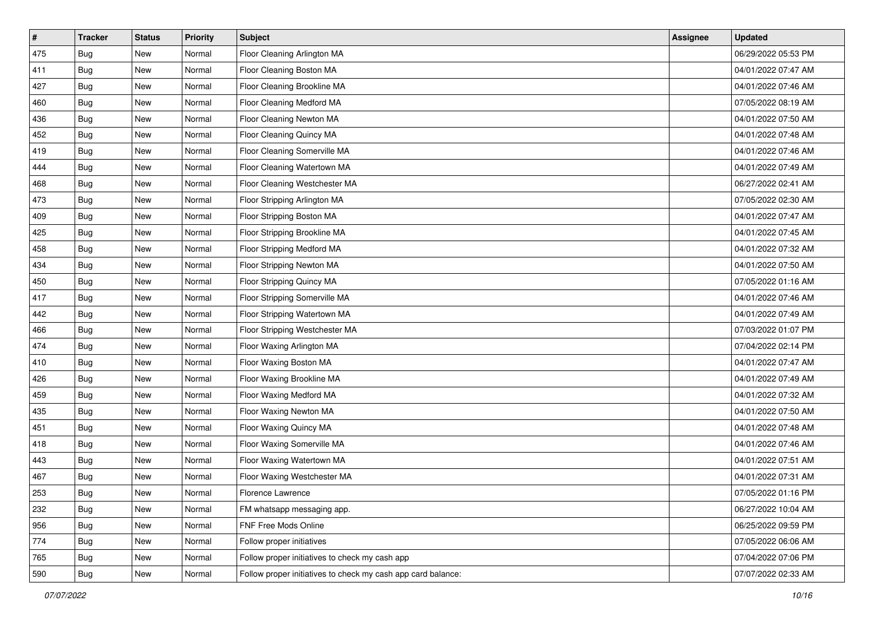| $\vert$ # | <b>Tracker</b> | <b>Status</b> | <b>Priority</b> | <b>Subject</b>                                               | Assignee | <b>Updated</b>      |
|-----------|----------------|---------------|-----------------|--------------------------------------------------------------|----------|---------------------|
| 475       | <b>Bug</b>     | New           | Normal          | Floor Cleaning Arlington MA                                  |          | 06/29/2022 05:53 PM |
| 411       | <b>Bug</b>     | New           | Normal          | Floor Cleaning Boston MA                                     |          | 04/01/2022 07:47 AM |
| 427       | Bug            | New           | Normal          | Floor Cleaning Brookline MA                                  |          | 04/01/2022 07:46 AM |
| 460       | <b>Bug</b>     | New           | Normal          | Floor Cleaning Medford MA                                    |          | 07/05/2022 08:19 AM |
| 436       | <b>Bug</b>     | New           | Normal          | Floor Cleaning Newton MA                                     |          | 04/01/2022 07:50 AM |
| 452       | <b>Bug</b>     | New           | Normal          | Floor Cleaning Quincy MA                                     |          | 04/01/2022 07:48 AM |
| 419       | <b>Bug</b>     | New           | Normal          | Floor Cleaning Somerville MA                                 |          | 04/01/2022 07:46 AM |
| 444       | <b>Bug</b>     | New           | Normal          | Floor Cleaning Watertown MA                                  |          | 04/01/2022 07:49 AM |
| 468       | <b>Bug</b>     | New           | Normal          | Floor Cleaning Westchester MA                                |          | 06/27/2022 02:41 AM |
| 473       | <b>Bug</b>     | New           | Normal          | Floor Stripping Arlington MA                                 |          | 07/05/2022 02:30 AM |
| 409       | <b>Bug</b>     | New           | Normal          | Floor Stripping Boston MA                                    |          | 04/01/2022 07:47 AM |
| 425       | <b>Bug</b>     | New           | Normal          | Floor Stripping Brookline MA                                 |          | 04/01/2022 07:45 AM |
| 458       | Bug            | New           | Normal          | Floor Stripping Medford MA                                   |          | 04/01/2022 07:32 AM |
| 434       | <b>Bug</b>     | New           | Normal          | Floor Stripping Newton MA                                    |          | 04/01/2022 07:50 AM |
| 450       | <b>Bug</b>     | New           | Normal          | Floor Stripping Quincy MA                                    |          | 07/05/2022 01:16 AM |
| 417       | <b>Bug</b>     | New           | Normal          | Floor Stripping Somerville MA                                |          | 04/01/2022 07:46 AM |
| 442       | <b>Bug</b>     | New           | Normal          | Floor Stripping Watertown MA                                 |          | 04/01/2022 07:49 AM |
| 466       | <b>Bug</b>     | New           | Normal          | Floor Stripping Westchester MA                               |          | 07/03/2022 01:07 PM |
| 474       | <b>Bug</b>     | New           | Normal          | Floor Waxing Arlington MA                                    |          | 07/04/2022 02:14 PM |
| 410       | <b>Bug</b>     | New           | Normal          | Floor Waxing Boston MA                                       |          | 04/01/2022 07:47 AM |
| 426       | <b>Bug</b>     | New           | Normal          | Floor Waxing Brookline MA                                    |          | 04/01/2022 07:49 AM |
| 459       | <b>Bug</b>     | New           | Normal          | Floor Waxing Medford MA                                      |          | 04/01/2022 07:32 AM |
| 435       | Bug            | New           | Normal          | Floor Waxing Newton MA                                       |          | 04/01/2022 07:50 AM |
| 451       | <b>Bug</b>     | New           | Normal          | Floor Waxing Quincy MA                                       |          | 04/01/2022 07:48 AM |
| 418       | <b>Bug</b>     | New           | Normal          | Floor Waxing Somerville MA                                   |          | 04/01/2022 07:46 AM |
| 443       | <b>Bug</b>     | New           | Normal          | Floor Waxing Watertown MA                                    |          | 04/01/2022 07:51 AM |
| 467       | <b>Bug</b>     | New           | Normal          | Floor Waxing Westchester MA                                  |          | 04/01/2022 07:31 AM |
| 253       | Bug            | New           | Normal          | Florence Lawrence                                            |          | 07/05/2022 01:16 PM |
| 232       | Bug            | New           | Normal          | FM whatsapp messaging app.                                   |          | 06/27/2022 10:04 AM |
| 956       | Bug            | New           | Normal          | FNF Free Mods Online                                         |          | 06/25/2022 09:59 PM |
| 774       | Bug            | New           | Normal          | Follow proper initiatives                                    |          | 07/05/2022 06:06 AM |
| 765       | <b>Bug</b>     | New           | Normal          | Follow proper initiatives to check my cash app               |          | 07/04/2022 07:06 PM |
| 590       | <b>Bug</b>     | New           | Normal          | Follow proper initiatives to check my cash app card balance: |          | 07/07/2022 02:33 AM |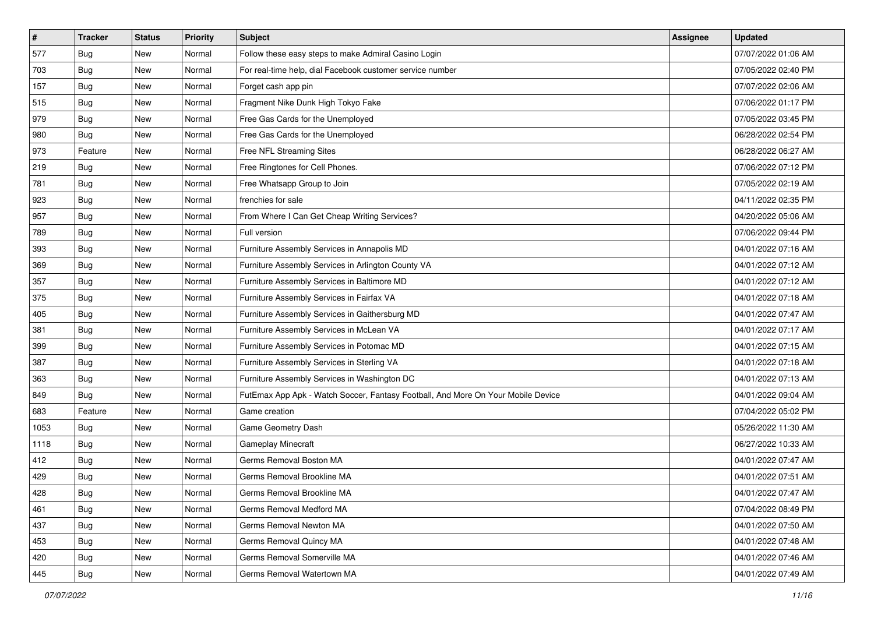| $\vert$ # | <b>Tracker</b> | <b>Status</b> | <b>Priority</b> | Subject                                                                          | Assignee | <b>Updated</b>      |
|-----------|----------------|---------------|-----------------|----------------------------------------------------------------------------------|----------|---------------------|
| 577       | <b>Bug</b>     | New           | Normal          | Follow these easy steps to make Admiral Casino Login                             |          | 07/07/2022 01:06 AM |
| 703       | Bug            | New           | Normal          | For real-time help, dial Facebook customer service number                        |          | 07/05/2022 02:40 PM |
| 157       | Bug            | New           | Normal          | Forget cash app pin                                                              |          | 07/07/2022 02:06 AM |
| 515       | <b>Bug</b>     | New           | Normal          | Fragment Nike Dunk High Tokyo Fake                                               |          | 07/06/2022 01:17 PM |
| 979       | Bug            | New           | Normal          | Free Gas Cards for the Unemployed                                                |          | 07/05/2022 03:45 PM |
| 980       | <b>Bug</b>     | New           | Normal          | Free Gas Cards for the Unemployed                                                |          | 06/28/2022 02:54 PM |
| 973       | Feature        | New           | Normal          | Free NFL Streaming Sites                                                         |          | 06/28/2022 06:27 AM |
| 219       | <b>Bug</b>     | New           | Normal          | Free Ringtones for Cell Phones.                                                  |          | 07/06/2022 07:12 PM |
| 781       | <b>Bug</b>     | New           | Normal          | Free Whatsapp Group to Join                                                      |          | 07/05/2022 02:19 AM |
| 923       | Bug            | New           | Normal          | frenchies for sale                                                               |          | 04/11/2022 02:35 PM |
| 957       | <b>Bug</b>     | New           | Normal          | From Where I Can Get Cheap Writing Services?                                     |          | 04/20/2022 05:06 AM |
| 789       | <b>Bug</b>     | New           | Normal          | Full version                                                                     |          | 07/06/2022 09:44 PM |
| 393       | Bug            | New           | Normal          | Furniture Assembly Services in Annapolis MD                                      |          | 04/01/2022 07:16 AM |
| 369       | <b>Bug</b>     | New           | Normal          | Furniture Assembly Services in Arlington County VA                               |          | 04/01/2022 07:12 AM |
| 357       | Bug            | New           | Normal          | Furniture Assembly Services in Baltimore MD                                      |          | 04/01/2022 07:12 AM |
| 375       | Bug            | New           | Normal          | Furniture Assembly Services in Fairfax VA                                        |          | 04/01/2022 07:18 AM |
| 405       | <b>Bug</b>     | New           | Normal          | Furniture Assembly Services in Gaithersburg MD                                   |          | 04/01/2022 07:47 AM |
| 381       | Bug            | New           | Normal          | Furniture Assembly Services in McLean VA                                         |          | 04/01/2022 07:17 AM |
| 399       | <b>Bug</b>     | New           | Normal          | Furniture Assembly Services in Potomac MD                                        |          | 04/01/2022 07:15 AM |
| 387       | <b>Bug</b>     | New           | Normal          | Furniture Assembly Services in Sterling VA                                       |          | 04/01/2022 07:18 AM |
| 363       | <b>Bug</b>     | New           | Normal          | Furniture Assembly Services in Washington DC                                     |          | 04/01/2022 07:13 AM |
| 849       | <b>Bug</b>     | New           | Normal          | FutEmax App Apk - Watch Soccer, Fantasy Football, And More On Your Mobile Device |          | 04/01/2022 09:04 AM |
| 683       | Feature        | New           | Normal          | Game creation                                                                    |          | 07/04/2022 05:02 PM |
| 1053      | <b>Bug</b>     | New           | Normal          | Game Geometry Dash                                                               |          | 05/26/2022 11:30 AM |
| 1118      | <b>Bug</b>     | New           | Normal          | <b>Gameplay Minecraft</b>                                                        |          | 06/27/2022 10:33 AM |
| 412       | <b>Bug</b>     | New           | Normal          | Germs Removal Boston MA                                                          |          | 04/01/2022 07:47 AM |
| 429       | <b>Bug</b>     | New           | Normal          | Germs Removal Brookline MA                                                       |          | 04/01/2022 07:51 AM |
| 428       | <b>Bug</b>     | New           | Normal          | Germs Removal Brookline MA                                                       |          | 04/01/2022 07:47 AM |
| 461       | Bug            | New           | Normal          | Germs Removal Medford MA                                                         |          | 07/04/2022 08:49 PM |
| 437       | <b>Bug</b>     | New           | Normal          | Germs Removal Newton MA                                                          |          | 04/01/2022 07:50 AM |
| 453       | Bug            | New           | Normal          | Germs Removal Quincy MA                                                          |          | 04/01/2022 07:48 AM |
| 420       | <b>Bug</b>     | New           | Normal          | Germs Removal Somerville MA                                                      |          | 04/01/2022 07:46 AM |
| 445       | <b>Bug</b>     | New           | Normal          | Germs Removal Watertown MA                                                       |          | 04/01/2022 07:49 AM |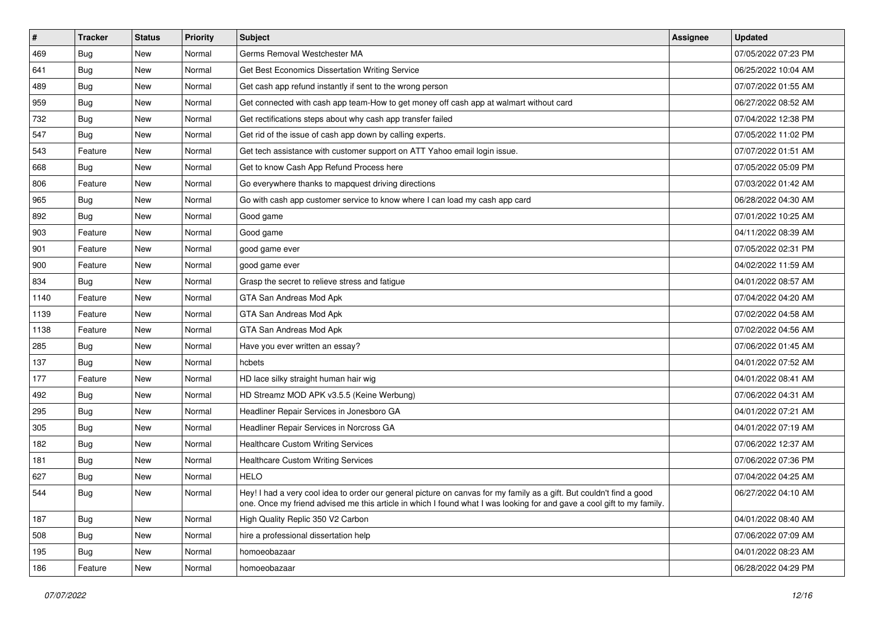| $\pmb{\sharp}$ | <b>Tracker</b> | <b>Status</b> | <b>Priority</b> | Subject                                                                                                                                                                                                                                        | <b>Assignee</b> | <b>Updated</b>      |
|----------------|----------------|---------------|-----------------|------------------------------------------------------------------------------------------------------------------------------------------------------------------------------------------------------------------------------------------------|-----------------|---------------------|
| 469            | <b>Bug</b>     | New           | Normal          | Germs Removal Westchester MA                                                                                                                                                                                                                   |                 | 07/05/2022 07:23 PM |
| 641            | Bug            | New           | Normal          | Get Best Economics Dissertation Writing Service                                                                                                                                                                                                |                 | 06/25/2022 10:04 AM |
| 489            | <b>Bug</b>     | New           | Normal          | Get cash app refund instantly if sent to the wrong person                                                                                                                                                                                      |                 | 07/07/2022 01:55 AM |
| 959            | <b>Bug</b>     | New           | Normal          | Get connected with cash app team-How to get money off cash app at walmart without card                                                                                                                                                         |                 | 06/27/2022 08:52 AM |
| 732            | <b>Bug</b>     | New           | Normal          | Get rectifications steps about why cash app transfer failed                                                                                                                                                                                    |                 | 07/04/2022 12:38 PM |
| 547            | Bug            | New           | Normal          | Get rid of the issue of cash app down by calling experts.                                                                                                                                                                                      |                 | 07/05/2022 11:02 PM |
| 543            | Feature        | New           | Normal          | Get tech assistance with customer support on ATT Yahoo email login issue.                                                                                                                                                                      |                 | 07/07/2022 01:51 AM |
| 668            | Bug            | New           | Normal          | Get to know Cash App Refund Process here                                                                                                                                                                                                       |                 | 07/05/2022 05:09 PM |
| 806            | Feature        | New           | Normal          | Go everywhere thanks to mapquest driving directions                                                                                                                                                                                            |                 | 07/03/2022 01:42 AM |
| 965            | Bug            | New           | Normal          | Go with cash app customer service to know where I can load my cash app card                                                                                                                                                                    |                 | 06/28/2022 04:30 AM |
| 892            | <b>Bug</b>     | New           | Normal          | Good game                                                                                                                                                                                                                                      |                 | 07/01/2022 10:25 AM |
| 903            | Feature        | New           | Normal          | Good game                                                                                                                                                                                                                                      |                 | 04/11/2022 08:39 AM |
| 901            | Feature        | New           | Normal          | good game ever                                                                                                                                                                                                                                 |                 | 07/05/2022 02:31 PM |
| 900            | Feature        | New           | Normal          | good game ever                                                                                                                                                                                                                                 |                 | 04/02/2022 11:59 AM |
| 834            | <b>Bug</b>     | <b>New</b>    | Normal          | Grasp the secret to relieve stress and fatigue                                                                                                                                                                                                 |                 | 04/01/2022 08:57 AM |
| 1140           | Feature        | New           | Normal          | GTA San Andreas Mod Apk                                                                                                                                                                                                                        |                 | 07/04/2022 04:20 AM |
| 1139           | Feature        | <b>New</b>    | Normal          | GTA San Andreas Mod Apk                                                                                                                                                                                                                        |                 | 07/02/2022 04:58 AM |
| 1138           | Feature        | New           | Normal          | GTA San Andreas Mod Apk                                                                                                                                                                                                                        |                 | 07/02/2022 04:56 AM |
| 285            | <b>Bug</b>     | New           | Normal          | Have you ever written an essay?                                                                                                                                                                                                                |                 | 07/06/2022 01:45 AM |
| 137            | <b>Bug</b>     | New           | Normal          | hcbets                                                                                                                                                                                                                                         |                 | 04/01/2022 07:52 AM |
| 177            | Feature        | New           | Normal          | HD lace silky straight human hair wig                                                                                                                                                                                                          |                 | 04/01/2022 08:41 AM |
| 492            | <b>Bug</b>     | New           | Normal          | HD Streamz MOD APK v3.5.5 (Keine Werbung)                                                                                                                                                                                                      |                 | 07/06/2022 04:31 AM |
| 295            | Bug            | New           | Normal          | Headliner Repair Services in Jonesboro GA                                                                                                                                                                                                      |                 | 04/01/2022 07:21 AM |
| 305            | <b>Bug</b>     | New           | Normal          | Headliner Repair Services in Norcross GA                                                                                                                                                                                                       |                 | 04/01/2022 07:19 AM |
| 182            | Bug            | New           | Normal          | <b>Healthcare Custom Writing Services</b>                                                                                                                                                                                                      |                 | 07/06/2022 12:37 AM |
| 181            | Bug            | New           | Normal          | <b>Healthcare Custom Writing Services</b>                                                                                                                                                                                                      |                 | 07/06/2022 07:36 PM |
| 627            | <b>Bug</b>     | New           | Normal          | <b>HELO</b>                                                                                                                                                                                                                                    |                 | 07/04/2022 04:25 AM |
| 544            | <b>Bug</b>     | New           | Normal          | Hey! I had a very cool idea to order our general picture on canvas for my family as a gift. But couldn't find a good<br>one. Once my friend advised me this article in which I found what I was looking for and gave a cool gift to my family. |                 | 06/27/2022 04:10 AM |
| 187            | <b>Bug</b>     | New           | Normal          | High Quality Replic 350 V2 Carbon                                                                                                                                                                                                              |                 | 04/01/2022 08:40 AM |
| 508            | Bug            | New           | Normal          | hire a professional dissertation help                                                                                                                                                                                                          |                 | 07/06/2022 07:09 AM |
| 195            | <b>Bug</b>     | New           | Normal          | homoeobazaar                                                                                                                                                                                                                                   |                 | 04/01/2022 08:23 AM |
| 186            | Feature        | New           | Normal          | homoeobazaar                                                                                                                                                                                                                                   |                 | 06/28/2022 04:29 PM |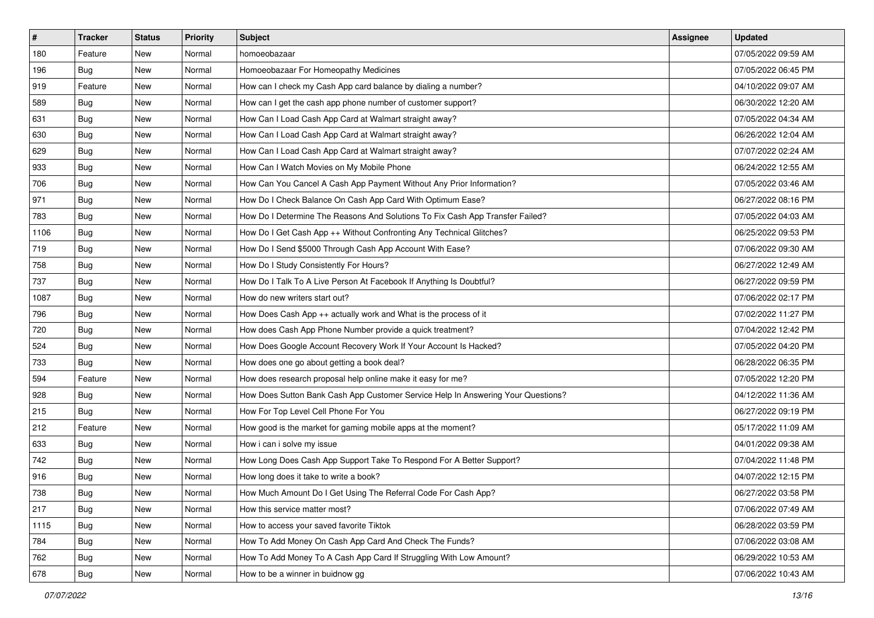| $\pmb{\#}$ | <b>Tracker</b> | <b>Status</b> | <b>Priority</b> | Subject                                                                          | <b>Assignee</b> | <b>Updated</b>      |
|------------|----------------|---------------|-----------------|----------------------------------------------------------------------------------|-----------------|---------------------|
| 180        | Feature        | New           | Normal          | homoeobazaar                                                                     |                 | 07/05/2022 09:59 AM |
| 196        | <b>Bug</b>     | New           | Normal          | Homoeobazaar For Homeopathy Medicines                                            |                 | 07/05/2022 06:45 PM |
| 919        | Feature        | New           | Normal          | How can I check my Cash App card balance by dialing a number?                    |                 | 04/10/2022 09:07 AM |
| 589        | <b>Bug</b>     | New           | Normal          | How can I get the cash app phone number of customer support?                     |                 | 06/30/2022 12:20 AM |
| 631        | <b>Bug</b>     | New           | Normal          | How Can I Load Cash App Card at Walmart straight away?                           |                 | 07/05/2022 04:34 AM |
| 630        | <b>Bug</b>     | New           | Normal          | How Can I Load Cash App Card at Walmart straight away?                           |                 | 06/26/2022 12:04 AM |
| 629        | Bug            | New           | Normal          | How Can I Load Cash App Card at Walmart straight away?                           |                 | 07/07/2022 02:24 AM |
| 933        | Bug            | New           | Normal          | How Can I Watch Movies on My Mobile Phone                                        |                 | 06/24/2022 12:55 AM |
| 706        | <b>Bug</b>     | New           | Normal          | How Can You Cancel A Cash App Payment Without Any Prior Information?             |                 | 07/05/2022 03:46 AM |
| 971        | Bug            | New           | Normal          | How Do I Check Balance On Cash App Card With Optimum Ease?                       |                 | 06/27/2022 08:16 PM |
| 783        | <b>Bug</b>     | New           | Normal          | How Do I Determine The Reasons And Solutions To Fix Cash App Transfer Failed?    |                 | 07/05/2022 04:03 AM |
| 1106       | <b>Bug</b>     | New           | Normal          | How Do I Get Cash App ++ Without Confronting Any Technical Glitches?             |                 | 06/25/2022 09:53 PM |
| 719        | Bug            | New           | Normal          | How Do I Send \$5000 Through Cash App Account With Ease?                         |                 | 07/06/2022 09:30 AM |
| 758        | <b>Bug</b>     | New           | Normal          | How Do I Study Consistently For Hours?                                           |                 | 06/27/2022 12:49 AM |
| 737        | <b>Bug</b>     | New           | Normal          | How Do I Talk To A Live Person At Facebook If Anything Is Doubtful?              |                 | 06/27/2022 09:59 PM |
| 1087       | <b>Bug</b>     | New           | Normal          | How do new writers start out?                                                    |                 | 07/06/2022 02:17 PM |
| 796        | <b>Bug</b>     | New           | Normal          | How Does Cash App ++ actually work and What is the process of it                 |                 | 07/02/2022 11:27 PM |
| 720        | Bug            | New           | Normal          | How does Cash App Phone Number provide a quick treatment?                        |                 | 07/04/2022 12:42 PM |
| 524        | <b>Bug</b>     | New           | Normal          | How Does Google Account Recovery Work If Your Account Is Hacked?                 |                 | 07/05/2022 04:20 PM |
| 733        | <b>Bug</b>     | New           | Normal          | How does one go about getting a book deal?                                       |                 | 06/28/2022 06:35 PM |
| 594        | Feature        | New           | Normal          | How does research proposal help online make it easy for me?                      |                 | 07/05/2022 12:20 PM |
| 928        | <b>Bug</b>     | New           | Normal          | How Does Sutton Bank Cash App Customer Service Help In Answering Your Questions? |                 | 04/12/2022 11:36 AM |
| 215        | Bug            | New           | Normal          | How For Top Level Cell Phone For You                                             |                 | 06/27/2022 09:19 PM |
| 212        | Feature        | New           | Normal          | How good is the market for gaming mobile apps at the moment?                     |                 | 05/17/2022 11:09 AM |
| 633        | Bug            | New           | Normal          | How i can i solve my issue                                                       |                 | 04/01/2022 09:38 AM |
| 742        | Bug            | New           | Normal          | How Long Does Cash App Support Take To Respond For A Better Support?             |                 | 07/04/2022 11:48 PM |
| 916        | <b>Bug</b>     | New           | Normal          | How long does it take to write a book?                                           |                 | 04/07/2022 12:15 PM |
| 738        | <b>Bug</b>     | New           | Normal          | How Much Amount Do I Get Using The Referral Code For Cash App?                   |                 | 06/27/2022 03:58 PM |
| 217        | <b>Bug</b>     | New           | Normal          | How this service matter most?                                                    |                 | 07/06/2022 07:49 AM |
| 1115       | <b>Bug</b>     | New           | Normal          | How to access your saved favorite Tiktok                                         |                 | 06/28/2022 03:59 PM |
| 784        | Bug            | New           | Normal          | How To Add Money On Cash App Card And Check The Funds?                           |                 | 07/06/2022 03:08 AM |
| 762        | <b>Bug</b>     | New           | Normal          | How To Add Money To A Cash App Card If Struggling With Low Amount?               |                 | 06/29/2022 10:53 AM |
| 678        | <b>Bug</b>     | New           | Normal          | How to be a winner in buidnow gg                                                 |                 | 07/06/2022 10:43 AM |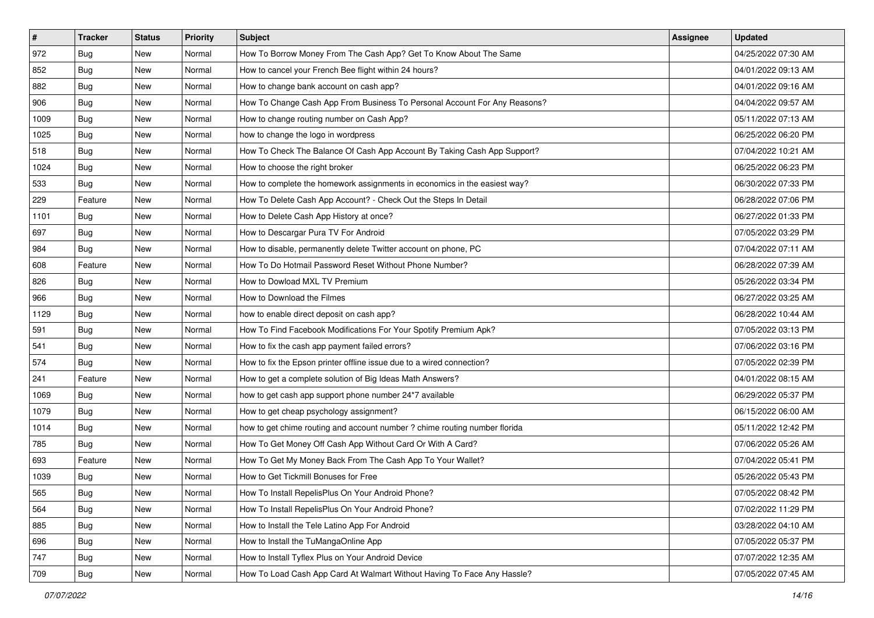| #    | <b>Tracker</b> | <b>Status</b> | <b>Priority</b> | Subject                                                                    | <b>Assignee</b> | <b>Updated</b>      |
|------|----------------|---------------|-----------------|----------------------------------------------------------------------------|-----------------|---------------------|
| 972  | <b>Bug</b>     | New           | Normal          | How To Borrow Money From The Cash App? Get To Know About The Same          |                 | 04/25/2022 07:30 AM |
| 852  | Bug            | New           | Normal          | How to cancel your French Bee flight within 24 hours?                      |                 | 04/01/2022 09:13 AM |
| 882  | <b>Bug</b>     | New           | Normal          | How to change bank account on cash app?                                    |                 | 04/01/2022 09:16 AM |
| 906  | Bug            | New           | Normal          | How To Change Cash App From Business To Personal Account For Any Reasons?  |                 | 04/04/2022 09:57 AM |
| 1009 | Bug            | New           | Normal          | How to change routing number on Cash App?                                  |                 | 05/11/2022 07:13 AM |
| 1025 | <b>Bug</b>     | New           | Normal          | how to change the logo in wordpress                                        |                 | 06/25/2022 06:20 PM |
| 518  | <b>Bug</b>     | New           | Normal          | How To Check The Balance Of Cash App Account By Taking Cash App Support?   |                 | 07/04/2022 10:21 AM |
| 1024 | Bug            | New           | Normal          | How to choose the right broker                                             |                 | 06/25/2022 06:23 PM |
| 533  | Bug            | New           | Normal          | How to complete the homework assignments in economics in the easiest way?  |                 | 06/30/2022 07:33 PM |
| 229  | Feature        | <b>New</b>    | Normal          | How To Delete Cash App Account? - Check Out the Steps In Detail            |                 | 06/28/2022 07:06 PM |
| 1101 | <b>Bug</b>     | New           | Normal          | How to Delete Cash App History at once?                                    |                 | 06/27/2022 01:33 PM |
| 697  | Bug            | New           | Normal          | How to Descargar Pura TV For Android                                       |                 | 07/05/2022 03:29 PM |
| 984  | Bug            | New           | Normal          | How to disable, permanently delete Twitter account on phone, PC            |                 | 07/04/2022 07:11 AM |
| 608  | Feature        | New           | Normal          | How To Do Hotmail Password Reset Without Phone Number?                     |                 | 06/28/2022 07:39 AM |
| 826  | <b>Bug</b>     | New           | Normal          | How to Dowload MXL TV Premium                                              |                 | 05/26/2022 03:34 PM |
| 966  | Bug            | New           | Normal          | How to Download the Filmes                                                 |                 | 06/27/2022 03:25 AM |
| 1129 | <b>Bug</b>     | New           | Normal          | how to enable direct deposit on cash app?                                  |                 | 06/28/2022 10:44 AM |
| 591  | Bug            | New           | Normal          | How To Find Facebook Modifications For Your Spotify Premium Apk?           |                 | 07/05/2022 03:13 PM |
| 541  | <b>Bug</b>     | New           | Normal          | How to fix the cash app payment failed errors?                             |                 | 07/06/2022 03:16 PM |
| 574  | Bug            | New           | Normal          | How to fix the Epson printer offline issue due to a wired connection?      |                 | 07/05/2022 02:39 PM |
| 241  | Feature        | New           | Normal          | How to get a complete solution of Big Ideas Math Answers?                  |                 | 04/01/2022 08:15 AM |
| 1069 | <b>Bug</b>     | New           | Normal          | how to get cash app support phone number 24*7 available                    |                 | 06/29/2022 05:37 PM |
| 1079 | Bug            | New           | Normal          | How to get cheap psychology assignment?                                    |                 | 06/15/2022 06:00 AM |
| 1014 | <b>Bug</b>     | New           | Normal          | how to get chime routing and account number ? chime routing number florida |                 | 05/11/2022 12:42 PM |
| 785  | Bug            | New           | Normal          | How To Get Money Off Cash App Without Card Or With A Card?                 |                 | 07/06/2022 05:26 AM |
| 693  | Feature        | New           | Normal          | How To Get My Money Back From The Cash App To Your Wallet?                 |                 | 07/04/2022 05:41 PM |
| 1039 | <b>Bug</b>     | New           | Normal          | How to Get Tickmill Bonuses for Free                                       |                 | 05/26/2022 05:43 PM |
| 565  | Bug            | New           | Normal          | How To Install RepelisPlus On Your Android Phone?                          |                 | 07/05/2022 08:42 PM |
| 564  | <b>Bug</b>     | New           | Normal          | How To Install RepelisPlus On Your Android Phone?                          |                 | 07/02/2022 11:29 PM |
| 885  | <b>Bug</b>     | New           | Normal          | How to Install the Tele Latino App For Android                             |                 | 03/28/2022 04:10 AM |
| 696  | <b>Bug</b>     | New           | Normal          | How to Install the TuMangaOnline App                                       |                 | 07/05/2022 05:37 PM |
| 747  | Bug            | New           | Normal          | How to Install Tyflex Plus on Your Android Device                          |                 | 07/07/2022 12:35 AM |
| 709  | Bug            | New           | Normal          | How To Load Cash App Card At Walmart Without Having To Face Any Hassle?    |                 | 07/05/2022 07:45 AM |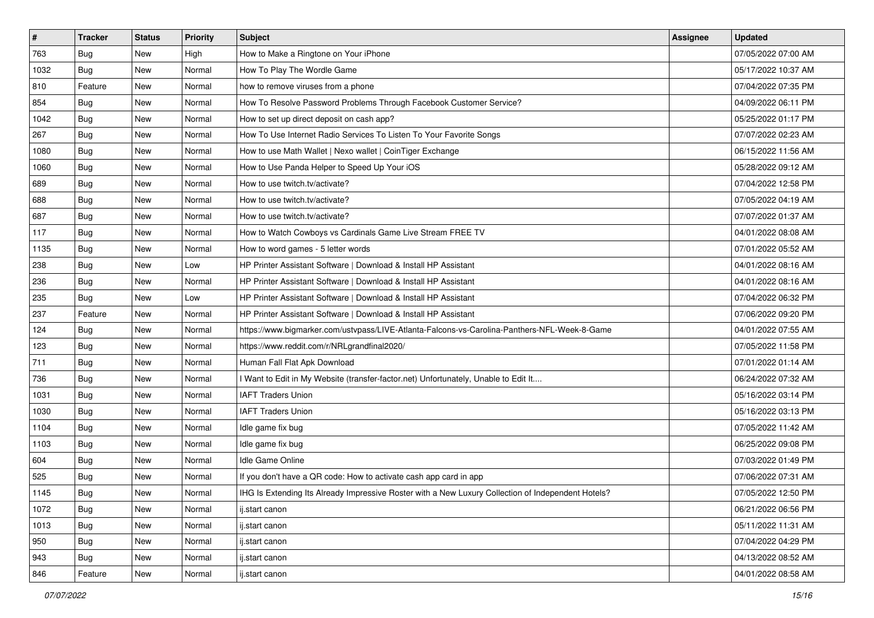| $\vert$ # | <b>Tracker</b> | <b>Status</b> | Priority | Subject                                                                                            | Assignee | <b>Updated</b>      |
|-----------|----------------|---------------|----------|----------------------------------------------------------------------------------------------------|----------|---------------------|
| 763       | <b>Bug</b>     | New           | High     | How to Make a Ringtone on Your iPhone                                                              |          | 07/05/2022 07:00 AM |
| 1032      | <b>Bug</b>     | New           | Normal   | How To Play The Wordle Game                                                                        |          | 05/17/2022 10:37 AM |
| 810       | Feature        | New           | Normal   | how to remove viruses from a phone                                                                 |          | 07/04/2022 07:35 PM |
| 854       | Bug            | New           | Normal   | How To Resolve Password Problems Through Facebook Customer Service?                                |          | 04/09/2022 06:11 PM |
| 1042      | Bug            | New           | Normal   | How to set up direct deposit on cash app?                                                          |          | 05/25/2022 01:17 PM |
| 267       | Bug            | New           | Normal   | How To Use Internet Radio Services To Listen To Your Favorite Songs                                |          | 07/07/2022 02:23 AM |
| 1080      | Bug            | New           | Normal   | How to use Math Wallet   Nexo wallet   CoinTiger Exchange                                          |          | 06/15/2022 11:56 AM |
| 1060      | Bug            | New           | Normal   | How to Use Panda Helper to Speed Up Your iOS                                                       |          | 05/28/2022 09:12 AM |
| 689       | Bug            | New           | Normal   | How to use twitch.tv/activate?                                                                     |          | 07/04/2022 12:58 PM |
| 688       | Bug            | New           | Normal   | How to use twitch.tv/activate?                                                                     |          | 07/05/2022 04:19 AM |
| 687       | <b>Bug</b>     | New           | Normal   | How to use twitch.tv/activate?                                                                     |          | 07/07/2022 01:37 AM |
| 117       | Bug            | New           | Normal   | How to Watch Cowboys vs Cardinals Game Live Stream FREE TV                                         |          | 04/01/2022 08:08 AM |
| 1135      | Bug            | New           | Normal   | How to word games - 5 letter words                                                                 |          | 07/01/2022 05:52 AM |
| 238       | Bug            | New           | Low      | HP Printer Assistant Software   Download & Install HP Assistant                                    |          | 04/01/2022 08:16 AM |
| 236       | Bug            | New           | Normal   | HP Printer Assistant Software   Download & Install HP Assistant                                    |          | 04/01/2022 08:16 AM |
| 235       | Bug            | New           | Low      | HP Printer Assistant Software   Download & Install HP Assistant                                    |          | 07/04/2022 06:32 PM |
| 237       | Feature        | New           | Normal   | HP Printer Assistant Software   Download & Install HP Assistant                                    |          | 07/06/2022 09:20 PM |
| 124       | Bug            | New           | Normal   | https://www.bigmarker.com/ustvpass/LIVE-Atlanta-Falcons-vs-Carolina-Panthers-NFL-Week-8-Game       |          | 04/01/2022 07:55 AM |
| 123       | Bug            | New           | Normal   | https://www.reddit.com/r/NRLgrandfinal2020/                                                        |          | 07/05/2022 11:58 PM |
| 711       | Bug            | New           | Normal   | Human Fall Flat Apk Download                                                                       |          | 07/01/2022 01:14 AM |
| 736       | <b>Bug</b>     | New           | Normal   | I Want to Edit in My Website (transfer-factor.net) Unfortunately, Unable to Edit It                |          | 06/24/2022 07:32 AM |
| 1031      | <b>Bug</b>     | New           | Normal   | <b>IAFT Traders Union</b>                                                                          |          | 05/16/2022 03:14 PM |
| 1030      | Bug            | New           | Normal   | <b>IAFT Traders Union</b>                                                                          |          | 05/16/2022 03:13 PM |
| 1104      | Bug            | New           | Normal   | Idle game fix bug                                                                                  |          | 07/05/2022 11:42 AM |
| 1103      | Bug            | New           | Normal   | Idle game fix bug                                                                                  |          | 06/25/2022 09:08 PM |
| 604       | Bug            | New           | Normal   | Idle Game Online                                                                                   |          | 07/03/2022 01:49 PM |
| 525       | <b>Bug</b>     | New           | Normal   | If you don't have a QR code: How to activate cash app card in app                                  |          | 07/06/2022 07:31 AM |
| 1145      | <b>Bug</b>     | New           | Normal   | IHG Is Extending Its Already Impressive Roster with a New Luxury Collection of Independent Hotels? |          | 07/05/2022 12:50 PM |
| 1072      | Bug            | New           | Normal   | ij.start canon                                                                                     |          | 06/21/2022 06:56 PM |
| 1013      | <b>Bug</b>     | New           | Normal   | ij.start canon                                                                                     |          | 05/11/2022 11:31 AM |
| 950       | <b>Bug</b>     | New           | Normal   | ij.start canon                                                                                     |          | 07/04/2022 04:29 PM |
| 943       | Bug            | New           | Normal   | ij.start canon                                                                                     |          | 04/13/2022 08:52 AM |
| 846       | Feature        | New           | Normal   | ij.start canon                                                                                     |          | 04/01/2022 08:58 AM |